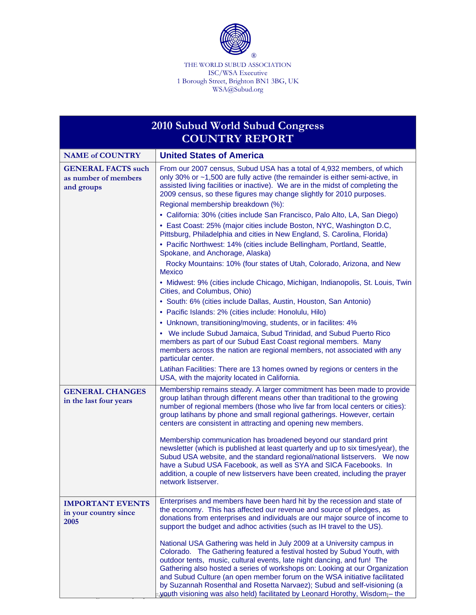

THE WORLD SUBUD ASSOCIATION ISC/WSA Executive 1 Borough Street, Brighton BN1 3BG, UK WSA@Subud.org

| 2010 Subud World Subud Congress<br><b>COUNTRY REPORT</b>        |                                                                                                                                                                                                                                                                                                                                                                                                                                                                                                                                                                                                                                                                                                        |  |
|-----------------------------------------------------------------|--------------------------------------------------------------------------------------------------------------------------------------------------------------------------------------------------------------------------------------------------------------------------------------------------------------------------------------------------------------------------------------------------------------------------------------------------------------------------------------------------------------------------------------------------------------------------------------------------------------------------------------------------------------------------------------------------------|--|
| <b>NAME of COUNTRY</b>                                          | <b>United States of America</b>                                                                                                                                                                                                                                                                                                                                                                                                                                                                                                                                                                                                                                                                        |  |
| <b>GENERAL FACTS such</b><br>as number of members<br>and groups | From our 2007 census, Subud USA has a total of 4,932 members, of which<br>only 30% or ~1,500 are fully active (the remainder is either semi-active, in<br>assisted living facilities or inactive). We are in the midst of completing the<br>2009 census, so these figures may change slightly for 2010 purposes.<br>Regional membership breakdown (%):<br>• California: 30% (cities include San Francisco, Palo Alto, LA, San Diego)<br>• East Coast: 25% (major cities include Boston, NYC, Washington D.C,<br>Pittsburg, Philadelphia and cities in New England, S. Carolina, Florida)<br>• Pacific Northwest: 14% (cities include Bellingham, Portland, Seattle,<br>Spokane, and Anchorage, Alaska) |  |
|                                                                 | Rocky Mountains: 10% (four states of Utah, Colorado, Arizona, and New<br><b>Mexico</b>                                                                                                                                                                                                                                                                                                                                                                                                                                                                                                                                                                                                                 |  |
|                                                                 | • Midwest: 9% (cities include Chicago, Michigan, Indianopolis, St. Louis, Twin<br>Cities, and Columbus, Ohio)                                                                                                                                                                                                                                                                                                                                                                                                                                                                                                                                                                                          |  |
|                                                                 | • South: 6% (cities include Dallas, Austin, Houston, San Antonio)                                                                                                                                                                                                                                                                                                                                                                                                                                                                                                                                                                                                                                      |  |
|                                                                 | • Pacific Islands: 2% (cities include: Honolulu, Hilo)                                                                                                                                                                                                                                                                                                                                                                                                                                                                                                                                                                                                                                                 |  |
|                                                                 | • Unknown, transitioning/moving, students, or in facilites: 4%                                                                                                                                                                                                                                                                                                                                                                                                                                                                                                                                                                                                                                         |  |
|                                                                 | • We include Subud Jamaica, Subud Trinidad, and Subud Puerto Rico<br>members as part of our Subud East Coast regional members. Many<br>members across the nation are regional members, not associated with any<br>particular center.                                                                                                                                                                                                                                                                                                                                                                                                                                                                   |  |
|                                                                 | Latihan Facilities: There are 13 homes owned by regions or centers in the<br>USA, with the majority located in California.                                                                                                                                                                                                                                                                                                                                                                                                                                                                                                                                                                             |  |
| <b>GENERAL CHANGES</b><br>in the last four years                | Membership remains steady. A larger commitment has been made to provide<br>group latihan through different means other than traditional to the growing<br>number of regional members (those who live far from local centers or cities):<br>group latihans by phone and small regional gatherings. However, certain<br>centers are consistent in attracting and opening new members.                                                                                                                                                                                                                                                                                                                    |  |
|                                                                 | Membership communication has broadened beyond our standard print<br>newsletter (which is published at least quarterly and up to six times/year), the<br>Subud USA website, and the standard regional/national listservers. We now<br>have a Subud USA Facebook, as well as SYA and SICA Facebooks. In<br>addition, a couple of new listservers have been created, including the prayer<br>network listserver.                                                                                                                                                                                                                                                                                          |  |
| <b>IMPORTANT EVENTS</b><br>in your country since<br>2005        | Enterprises and members have been hard hit by the recession and state of<br>the economy. This has affected our revenue and source of pledges, as<br>donations from enterprises and individuals are our major source of income to<br>support the budget and adhoc activities (such as IH travel to the US).                                                                                                                                                                                                                                                                                                                                                                                             |  |
|                                                                 | National USA Gathering was held in July 2009 at a University campus in<br>Colorado. The Gathering featured a festival hosted by Subud Youth, with<br>outdoor tents, music, cultural events, late night dancing, and fun! The<br>Gathering also hosted a series of workshops on: Looking at our Organization<br>and Subud Culture (an open member forum on the WSA initiative facilitated<br>by Suzannah Rosenthal and Rosetta Narvaez); Subud and self-visioning (a<br>youth visioning was also held) facilitated by Leonard Horothy, Wisdom <sub>1</sub> -the                                                                                                                                         |  |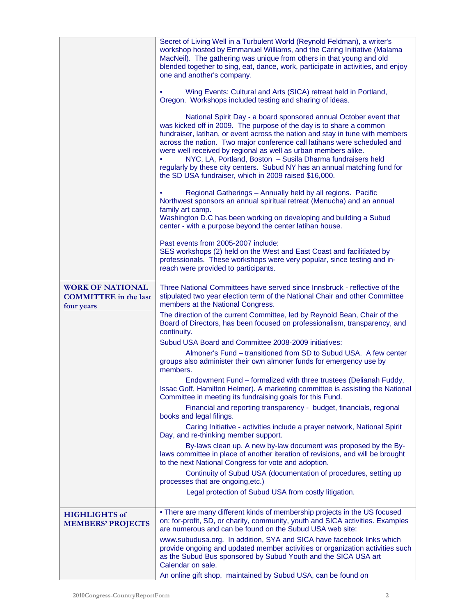|                                                                       | Secret of Living Well in a Turbulent World (Reynold Feldman), a writer's<br>workshop hosted by Emmanuel Williams, and the Caring Initiative (Malama<br>MacNeil). The gathering was unique from others in that young and old<br>blended together to sing, eat, dance, work, participate in activities, and enjoy<br>one and another's company.                                                                                                                                                                                                                               |
|-----------------------------------------------------------------------|-----------------------------------------------------------------------------------------------------------------------------------------------------------------------------------------------------------------------------------------------------------------------------------------------------------------------------------------------------------------------------------------------------------------------------------------------------------------------------------------------------------------------------------------------------------------------------|
|                                                                       | Wing Events: Cultural and Arts (SICA) retreat held in Portland,<br>Oregon. Workshops included testing and sharing of ideas.                                                                                                                                                                                                                                                                                                                                                                                                                                                 |
|                                                                       | National Spirit Day - a board sponsored annual October event that<br>was kicked off in 2009. The purpose of the day is to share a common<br>fundraiser, latihan, or event across the nation and stay in tune with members<br>across the nation. Two major conference call latihans were scheduled and<br>were well received by regional as well as urban members alike.<br>NYC, LA, Portland, Boston - Susila Dharma fundraisers held<br>regularly by these city centers. Subud NY has an annual matching fund for<br>the SD USA fundraiser, which in 2009 raised \$16,000. |
|                                                                       | Regional Gatherings - Annually held by all regions. Pacific<br>Northwest sponsors an annual spiritual retreat (Menucha) and an annual<br>family art camp.<br>Washington D.C has been working on developing and building a Subud<br>center - with a purpose beyond the center latihan house.                                                                                                                                                                                                                                                                                 |
|                                                                       | Past events from 2005-2007 include:<br>SES workshops (2) held on the West and East Coast and facilitiated by<br>professionals. These workshops were very popular, since testing and in-<br>reach were provided to participants.                                                                                                                                                                                                                                                                                                                                             |
| <b>WORK OF NATIONAL</b><br><b>COMMITTEE</b> in the last<br>four years | Three National Committees have served since Innsbruck - reflective of the<br>stipulated two year election term of the National Chair and other Committee<br>members at the National Congress.                                                                                                                                                                                                                                                                                                                                                                               |
|                                                                       | The direction of the current Committee, led by Reynold Bean, Chair of the<br>Board of Directors, has been focused on professionalism, transparency, and<br>continuity.                                                                                                                                                                                                                                                                                                                                                                                                      |
|                                                                       | Subud USA Board and Committee 2008-2009 initiatives:                                                                                                                                                                                                                                                                                                                                                                                                                                                                                                                        |
|                                                                       | Almoner's Fund - transitioned from SD to Subud USA. A few center<br>groups also administer their own almoner funds for emergency use by<br>members.                                                                                                                                                                                                                                                                                                                                                                                                                         |
|                                                                       | Endowment Fund - formalized with three trustees (Delianah Fuddy,<br>Issac Goff, Hamilton Helmer). A marketing committee is assisting the National<br>Committee in meeting its fundraising goals for this Fund.                                                                                                                                                                                                                                                                                                                                                              |
|                                                                       | Financial and reporting transparency - budget, financials, regional<br>books and legal filings.                                                                                                                                                                                                                                                                                                                                                                                                                                                                             |
|                                                                       | Caring Initiative - activities include a prayer network, National Spirit<br>Day, and re-thinking member support.                                                                                                                                                                                                                                                                                                                                                                                                                                                            |
|                                                                       | By-laws clean up. A new by-law document was proposed by the By-<br>laws committee in place of another iteration of revisions, and will be brought<br>to the next National Congress for vote and adoption.                                                                                                                                                                                                                                                                                                                                                                   |
|                                                                       | Continuity of Subud USA (documentation of procedures, setting up<br>processes that are ongoing, etc.)                                                                                                                                                                                                                                                                                                                                                                                                                                                                       |
|                                                                       | Legal protection of Subud USA from costly litigation.                                                                                                                                                                                                                                                                                                                                                                                                                                                                                                                       |
| <b>HIGHLIGHTS</b> of<br><b>MEMBERS' PROJECTS</b>                      | • There are many different kinds of membership projects in the US focused<br>on: for-profit, SD, or charity, community, youth and SICA activities. Examples<br>are numerous and can be found on the Subud USA web site:                                                                                                                                                                                                                                                                                                                                                     |
|                                                                       | www.subudusa.org. In addition, SYA and SICA have facebook links which<br>provide ongoing and updated member activities or organization activities such<br>as the Subud Bus sponsored by Subud Youth and the SICA USA art<br>Calendar on sale.                                                                                                                                                                                                                                                                                                                               |
|                                                                       | An online gift shop, maintained by Subud USA, can be found on                                                                                                                                                                                                                                                                                                                                                                                                                                                                                                               |